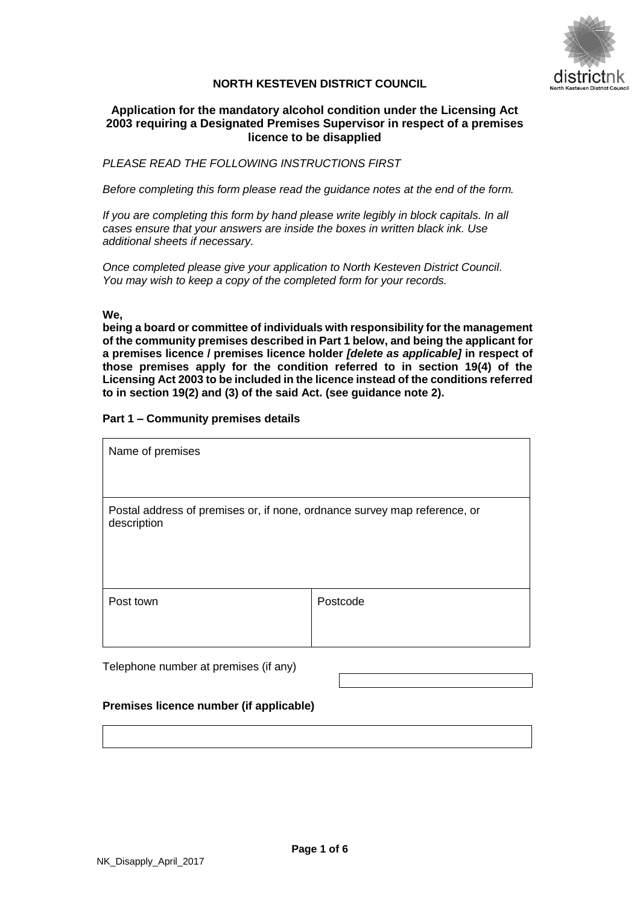

# **NORTH KESTEVEN DISTRICT COUNCIL**

# **Application for the mandatory alcohol condition under the Licensing Act 2003 requiring a Designated Premises Supervisor in respect of a premises licence to be disapplied**

*PLEASE READ THE FOLLOWING INSTRUCTIONS FIRST*

*Before completing this form please read the guidance notes at the end of the form.*

*If you are completing this form by hand please write legibly in block capitals. In all cases ensure that your answers are inside the boxes in written black ink. Use additional sheets if necessary.*

*Once completed please give your application to North Kesteven District Council. You may wish to keep a copy of the completed form for your records.*

## **We,**

**being a board or committee of individuals with responsibility for the management of the community premises described in Part 1 below, and being the applicant for a premises licence / premises licence holder** *[delete as applicable]* **in respect of those premises apply for the condition referred to in section 19(4) of the Licensing Act 2003 to be included in the licence instead of the conditions referred to in section 19(2) and (3) of the said Act. (see guidance note 2).** 

# **Part 1 – Community premises details**

| Name of premises                                                                         |          |  |
|------------------------------------------------------------------------------------------|----------|--|
|                                                                                          |          |  |
| Postal address of premises or, if none, ordnance survey map reference, or<br>description |          |  |
| Post town                                                                                | Postcode |  |
| Telephone number at premises (if any)                                                    |          |  |

**Premises licence number (if applicable)**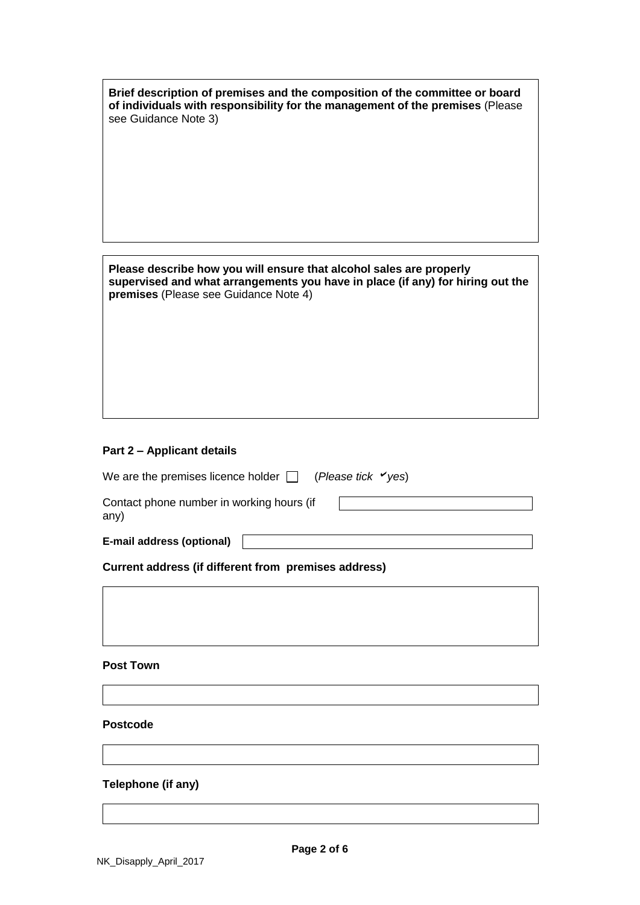| Brief description of premises and the composition of the committee or board<br>of individuals with responsibility for the management of the premises (Please<br>see Guidance Note 3)           |  |
|------------------------------------------------------------------------------------------------------------------------------------------------------------------------------------------------|--|
|                                                                                                                                                                                                |  |
|                                                                                                                                                                                                |  |
|                                                                                                                                                                                                |  |
| Please describe how you will ensure that alcohol sales are properly<br>supervised and what arrangements you have in place (if any) for hiring out the<br>premises (Please see Guidance Note 4) |  |
|                                                                                                                                                                                                |  |
|                                                                                                                                                                                                |  |
|                                                                                                                                                                                                |  |

# **Part 2 – Applicant details**

| We are the premises licence holder $\Box$ (Please tick $\checkmark$ yes) |  |  |
|--------------------------------------------------------------------------|--|--|
| Contact phone number in working hours (if<br>any)                        |  |  |
| E-mail address (optional)                                                |  |  |
| Current address (if different from premises address)                     |  |  |

**Post Town**

# **Postcode**

# **Telephone (if any)**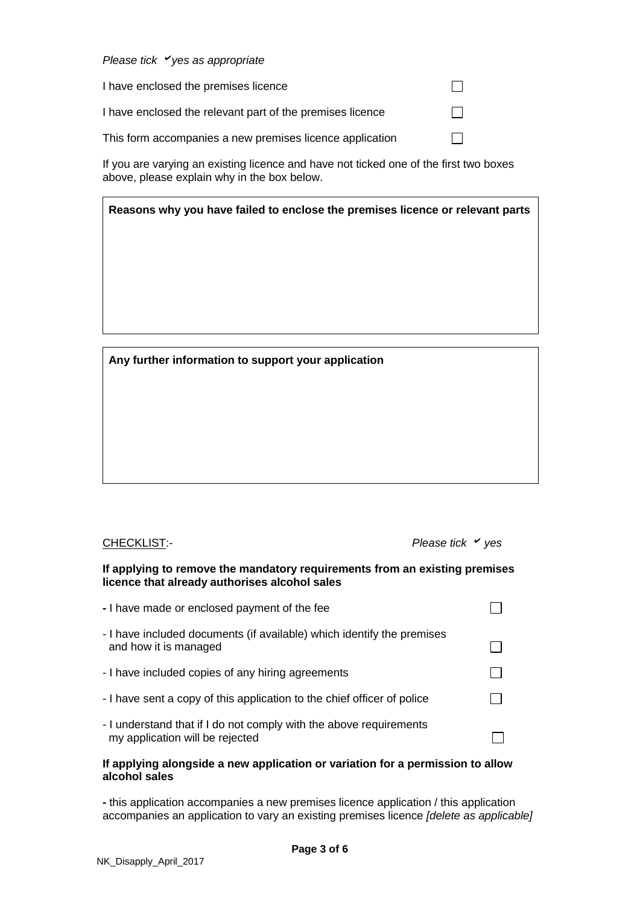# *Please tick yes as appropriate*

| I have enclosed the premises licence                      |              |
|-----------------------------------------------------------|--------------|
| I have enclosed the relevant part of the premises licence |              |
| This form accompanies a new premises licence application  | $\mathbf{1}$ |

If you are varying an existing licence and have not ticked one of the first two boxes above, please explain why in the box below.

# **Reasons why you have failed to enclose the premises licence or relevant parts**

**Any further information to support your application**

CHECKLIST:- *Please tick yes*

## **If applying to remove the mandatory requirements from an existing premises licence that already authorises alcohol sales**

| - I have made or enclosed payment of the fee                                                          |  |
|-------------------------------------------------------------------------------------------------------|--|
| - I have included documents (if available) which identify the premises<br>and how it is managed       |  |
| - I have included copies of any hiring agreements                                                     |  |
| - I have sent a copy of this application to the chief officer of police                               |  |
| - I understand that if I do not comply with the above requirements<br>my application will be rejected |  |

# **If applying alongside a new application or variation for a permission to allow alcohol sales**

**-** this application accompanies a new premises licence application / this application accompanies an application to vary an existing premises licence *[delete as applicable]*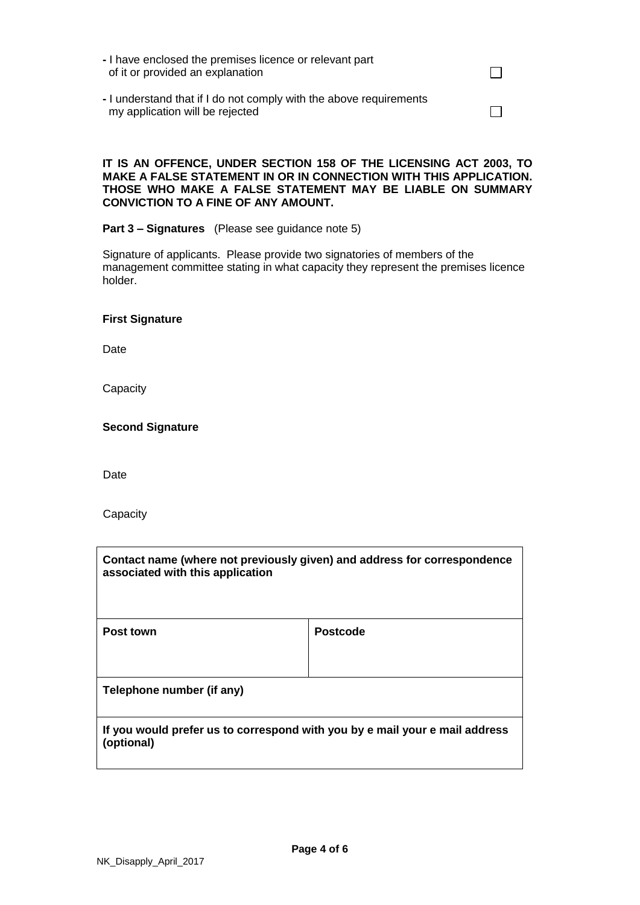- **-** I have enclosed the premises licence or relevant part of it or provided an explanation
- **-** I understand that if I do not comply with the above requirements my application will be rejected

# **IT IS AN OFFENCE, UNDER SECTION 158 OF THE LICENSING ACT 2003, TO MAKE A FALSE STATEMENT IN OR IN CONNECTION WITH THIS APPLICATION. THOSE WHO MAKE A FALSE STATEMENT MAY BE LIABLE ON SUMMARY CONVICTION TO A FINE OF ANY AMOUNT.**

 $\Box$ 

 $\Box$ 

## **Part 3 – Signatures** (Please see guidance note 5)

Signature of applicants. Please provide two signatories of members of the management committee stating in what capacity they represent the premises licence holder.

## **First Signature**

Date

**Capacity** 

## **Second Signature**

Date

**Capacity** 

| Contact name (where not previously given) and address for correspondence<br>associated with this application |                 |  |
|--------------------------------------------------------------------------------------------------------------|-----------------|--|
| Post town                                                                                                    | <b>Postcode</b> |  |
| Telephone number (if any)                                                                                    |                 |  |
| If you would prefer us to correspond with you by e mail your e mail address<br>(optional)                    |                 |  |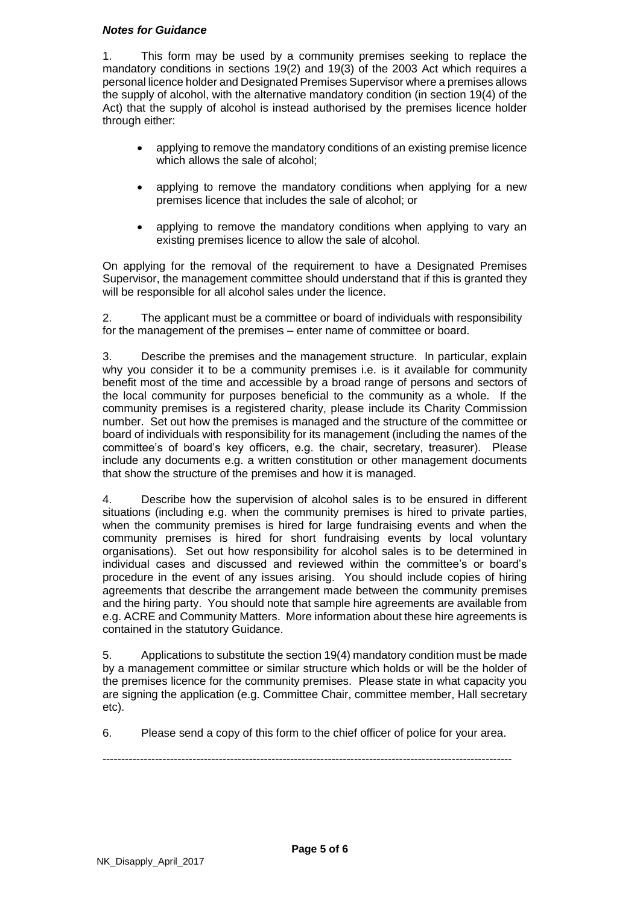# *Notes for Guidance*

1. This form may be used by a community premises seeking to replace the mandatory conditions in sections 19(2) and 19(3) of the 2003 Act which requires a personal licence holder and Designated Premises Supervisor where a premises allows the supply of alcohol, with the alternative mandatory condition (in section 19(4) of the Act) that the supply of alcohol is instead authorised by the premises licence holder through either:

- applying to remove the mandatory conditions of an existing premise licence which allows the sale of alcohol:
- applying to remove the mandatory conditions when applying for a new premises licence that includes the sale of alcohol; or
- applying to remove the mandatory conditions when applying to vary an existing premises licence to allow the sale of alcohol.

On applying for the removal of the requirement to have a Designated Premises Supervisor, the management committee should understand that if this is granted they will be responsible for all alcohol sales under the licence.

2. The applicant must be a committee or board of individuals with responsibility for the management of the premises – enter name of committee or board.

3. Describe the premises and the management structure. In particular, explain why you consider it to be a community premises i.e. is it available for community benefit most of the time and accessible by a broad range of persons and sectors of the local community for purposes beneficial to the community as a whole. If the community premises is a registered charity, please include its Charity Commission number. Set out how the premises is managed and the structure of the committee or board of individuals with responsibility for its management (including the names of the committee's of board's key officers, e.g. the chair, secretary, treasurer). Please include any documents e.g. a written constitution or other management documents that show the structure of the premises and how it is managed.

4. Describe how the supervision of alcohol sales is to be ensured in different situations (including e.g. when the community premises is hired to private parties, when the community premises is hired for large fundraising events and when the community premises is hired for short fundraising events by local voluntary organisations). Set out how responsibility for alcohol sales is to be determined in individual cases and discussed and reviewed within the committee's or board's procedure in the event of any issues arising. You should include copies of hiring agreements that describe the arrangement made between the community premises and the hiring party. You should note that sample hire agreements are available from e.g. ACRE and Community Matters. More information about these hire agreements is contained in the statutory Guidance.

5. Applications to substitute the section 19(4) mandatory condition must be made by a management committee or similar structure which holds or will be the holder of the premises licence for the community premises. Please state in what capacity you are signing the application (e.g. Committee Chair, committee member, Hall secretary etc).

6. Please send a copy of this form to the chief officer of police for your area.

-------------------------------------------------------------------------------------------------------------